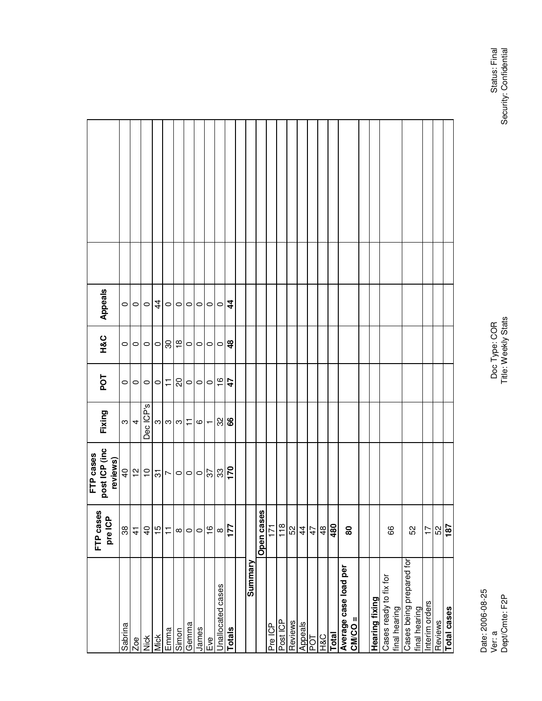|                                           |                      | FTP cases                                                               |                          |                           |                         |               |  |
|-------------------------------------------|----------------------|-------------------------------------------------------------------------|--------------------------|---------------------------|-------------------------|---------------|--|
|                                           | FTP cases<br>pre ICP | post ICP (inc                                                           | Fixing                   | POT                       | <b>H&amp;C</b>          | Appeals       |  |
|                                           |                      | reviews)                                                                |                          |                           |                         |               |  |
| Sabrina                                   | $38\,$               | $\frac{1}{4}$                                                           | S                        | $\circ$                   | $\circ$                 | $\circ$       |  |
| Zoe                                       | $\pm$                | $\frac{\mathsf{\scriptscriptstyle{Q}}}{\mathsf{\scriptscriptstyle{P}}}$ | 4                        | $\circ$                   | $\circ$                 | $\circ$       |  |
| Nick                                      | $\overline{6}$       | $\overline{10}$                                                         | Dec ICP's                | $\circ$                   | $\circ$                 | $\circ$       |  |
| Mick                                      | $-15$                | $\overline{\mathrm{s}}$                                                 |                          | $\circ$                   | $\circ$                 | $\frac{4}{4}$ |  |
| Emma                                      | $\overline{1}$       | $\overline{ }$                                                          | ო   ო   ო                | $\overline{+}$            | 06                      | $\circ$       |  |
| Simon                                     | $\infty$             | $\circ$                                                                 |                          | $\mathsf{S}^{\mathsf{O}}$ | $\frac{8}{18}$          | $\circ$       |  |
| Gemma                                     | $\circ$              | $\circ$                                                                 | Ξ                        | $\circ$                   | $\circ$                 | $\circ$       |  |
| James                                     | $\circ$              | $\circ$                                                                 | 6                        | $\circ$                   |                         | $\circ$       |  |
| Eve                                       | $\frac{6}{1}$        | <mark>¦ន</mark> ន់<br>ន                                                 | $\overline{\phantom{0}}$ | $\circ$                   | $\circ$ $\circ$ $\circ$ |               |  |
| Unallocated cases                         | $rac{8}{17}$         |                                                                         | ន $ 8 $ 8                | $\frac{6}{1}$             |                         | $\circ$       |  |
| Totals                                    |                      |                                                                         |                          | 47                        | $\overline{a}$          | $\frac{4}{4}$ |  |
|                                           |                      |                                                                         |                          |                           |                         |               |  |
| Summary                                   |                      |                                                                         |                          |                           |                         |               |  |
|                                           | <b>Open cases</b>    |                                                                         |                          |                           |                         |               |  |
| Pre ICP                                   | 171                  |                                                                         |                          |                           |                         |               |  |
| Post ICP                                  | $118$                |                                                                         |                          |                           |                         |               |  |
| Reviews                                   | 52                   |                                                                         |                          |                           |                         |               |  |
| Appeals                                   | 44                   |                                                                         |                          |                           |                         |               |  |
| <b>LOd</b>                                | 47                   |                                                                         |                          |                           |                         |               |  |
| <b>O<sub>8H</sub></b>                     | 48                   |                                                                         |                          |                           |                         |               |  |
| Total                                     | 480                  |                                                                         |                          |                           |                         |               |  |
| Average case load per<br>$CM/CO =$        | $\bf{80}$            |                                                                         |                          |                           |                         |               |  |
|                                           |                      |                                                                         |                          |                           |                         |               |  |
| Hearing fixing                            |                      |                                                                         |                          |                           |                         |               |  |
| Cases ready to fix for<br>final hearing   | 89                   |                                                                         |                          |                           |                         |               |  |
| Cases being prepared for<br>final hearing | 52                   |                                                                         |                          |                           |                         |               |  |
| Interim orders                            |                      |                                                                         |                          |                           |                         |               |  |
| Reviews                                   | $\frac{25}{25}$      |                                                                         |                          |                           |                         |               |  |
| <b>Total cases</b>                        |                      |                                                                         |                          |                           |                         |               |  |
|                                           |                      |                                                                         |                          |                           |                         |               |  |